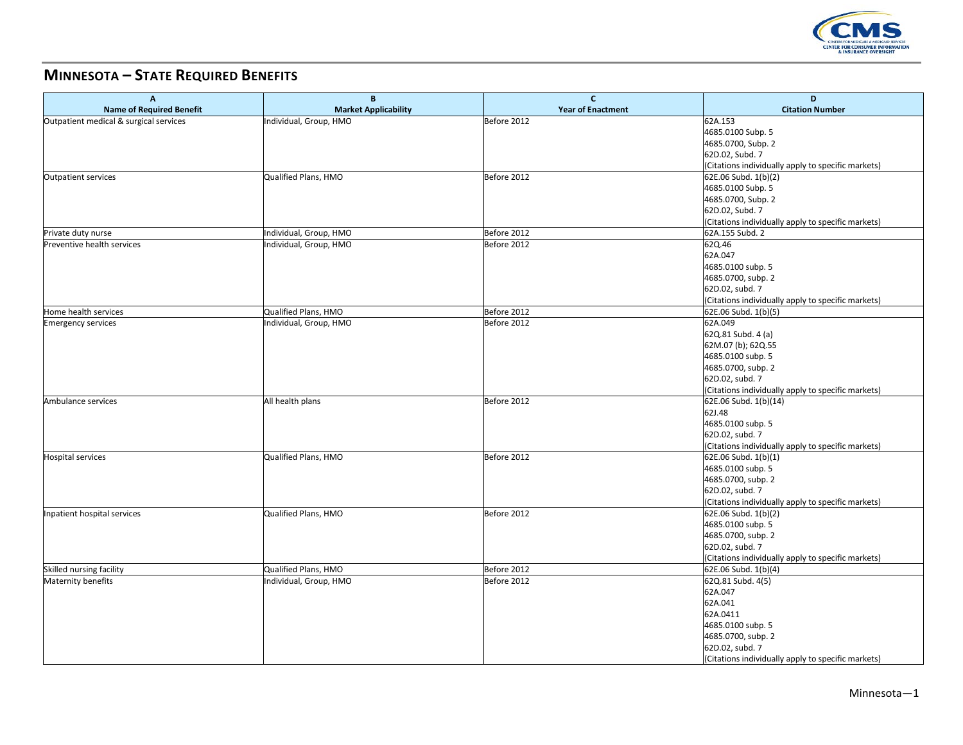

## **MINNESOTA – STATE REQUIRED BENEFITS**

| A                                      | B                           | $\mathbf{C}$<br><b>Year of Enactment</b> | D<br><b>Citation Number</b>                        |
|----------------------------------------|-----------------------------|------------------------------------------|----------------------------------------------------|
| <b>Name of Required Benefit</b>        | <b>Market Applicability</b> |                                          |                                                    |
| Outpatient medical & surgical services | Individual, Group, HMO      | Before 2012                              | 62A.153                                            |
|                                        |                             |                                          | 4685.0100 Subp. 5                                  |
|                                        |                             |                                          | 4685.0700, Subp. 2                                 |
|                                        |                             |                                          | 62D.02, Subd. 7                                    |
|                                        |                             |                                          | (Citations individually apply to specific markets) |
| Outpatient services                    | Qualified Plans, HMO        | Before 2012                              | 62E.06 Subd. 1(b)(2)                               |
|                                        |                             |                                          | 4685.0100 Subp. 5                                  |
|                                        |                             |                                          | 4685.0700, Subp. 2                                 |
|                                        |                             |                                          | 62D.02, Subd. 7                                    |
|                                        |                             |                                          | (Citations individually apply to specific markets) |
| Private duty nurse                     | Individual, Group, HMO      | Before 2012                              | 62A.155 Subd. 2                                    |
| <b>Preventive health services</b>      | Individual, Group, HMO      | Before 2012                              | 62Q.46                                             |
|                                        |                             |                                          | 62A.047                                            |
|                                        |                             |                                          | 4685.0100 subp. 5                                  |
|                                        |                             |                                          | 4685.0700, subp. 2                                 |
|                                        |                             |                                          | 62D.02, subd. 7                                    |
|                                        |                             |                                          | (Citations individually apply to specific markets) |
| Home health services                   | Qualified Plans, HMO        | Before 2012                              | 62E.06 Subd. 1(b)(5)                               |
| <b>Emergency services</b>              | Individual, Group, HMO      | Before 2012                              | 62A.049                                            |
|                                        |                             |                                          | 62Q.81 Subd. 4 (a)                                 |
|                                        |                             |                                          | 62M.07 (b); 62Q.55                                 |
|                                        |                             |                                          | 4685.0100 subp. 5                                  |
|                                        |                             |                                          | 4685.0700, subp. 2                                 |
|                                        |                             |                                          | 62D.02, subd. 7                                    |
|                                        |                             |                                          | (Citations individually apply to specific markets) |
| Ambulance services                     | All health plans            | Before 2012                              | 62E.06 Subd. 1(b)(14)                              |
|                                        |                             |                                          | 62J.48                                             |
|                                        |                             |                                          | 4685.0100 subp. 5                                  |
|                                        |                             |                                          | 62D.02, subd. 7                                    |
|                                        |                             |                                          | (Citations individually apply to specific markets) |
| <b>Hospital services</b>               | Qualified Plans, HMO        | Before 2012                              | 62E.06 Subd. 1(b)(1)                               |
|                                        |                             |                                          | 4685.0100 subp. 5                                  |
|                                        |                             |                                          | 4685.0700, subp. 2                                 |
|                                        |                             |                                          | 62D.02, subd. 7                                    |
|                                        |                             |                                          | (Citations individually apply to specific markets) |
| Inpatient hospital services            | Qualified Plans, HMO        | Before 2012                              | 62E.06 Subd. 1(b)(2)                               |
|                                        |                             |                                          | 4685.0100 subp. 5                                  |
|                                        |                             |                                          | 4685.0700, subp. 2                                 |
|                                        |                             |                                          | 62D.02, subd. 7                                    |
|                                        |                             |                                          |                                                    |
|                                        |                             |                                          | (Citations individually apply to specific markets) |
| Skilled nursing facility               | Qualified Plans, HMO        | Before 2012                              | 62E.06 Subd. 1(b)(4)                               |
| Maternity benefits                     | Individual, Group, HMO      | Before 2012                              | 62Q.81 Subd. 4(5)                                  |
|                                        |                             |                                          | 62A.047                                            |
|                                        |                             |                                          | 62A.041                                            |
|                                        |                             |                                          | 62A.0411                                           |
|                                        |                             |                                          | 4685.0100 subp. 5                                  |
|                                        |                             |                                          | 4685.0700, subp. 2                                 |
|                                        |                             |                                          | 62D.02, subd. 7                                    |
|                                        |                             |                                          | (Citations individually apply to specific markets) |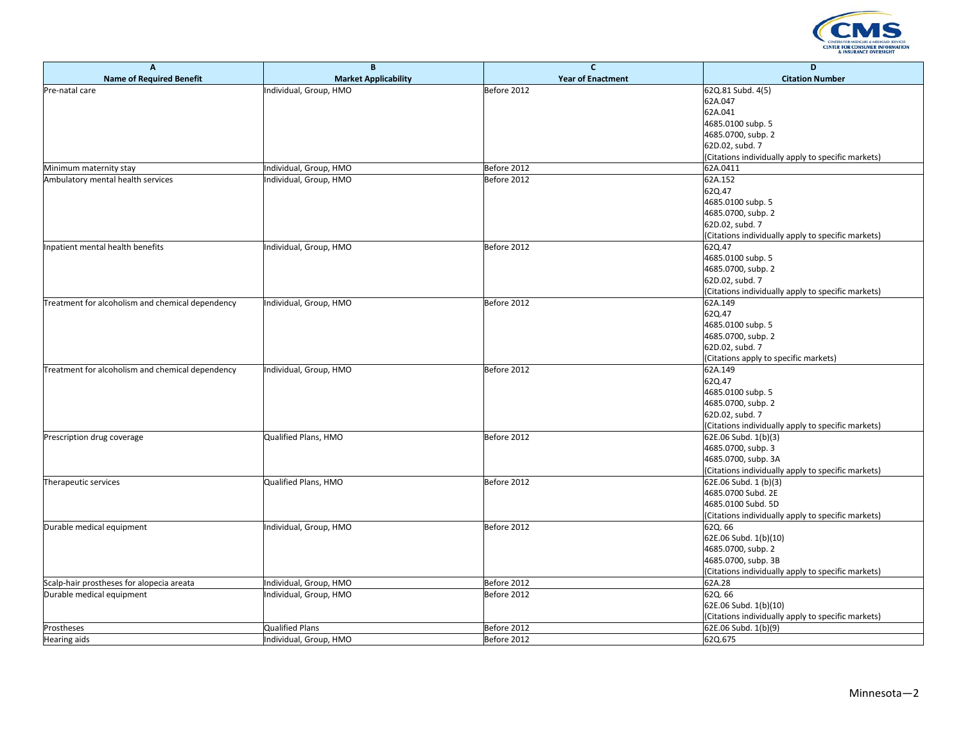

| A                                                | B                           | $\mathbf{C}$             | D                                                  |
|--------------------------------------------------|-----------------------------|--------------------------|----------------------------------------------------|
| <b>Name of Required Benefit</b>                  | <b>Market Applicability</b> | <b>Year of Enactment</b> | <b>Citation Number</b>                             |
| Pre-natal care                                   | Individual, Group, HMO      | Before 2012              | 62Q.81 Subd. 4(5)                                  |
|                                                  |                             |                          | 62A.047                                            |
|                                                  |                             |                          | 62A.041                                            |
|                                                  |                             |                          | 4685.0100 subp. 5                                  |
|                                                  |                             |                          | 4685.0700, subp. 2                                 |
|                                                  |                             |                          | 62D.02, subd. 7                                    |
|                                                  |                             |                          | (Citations individually apply to specific markets) |
| Minimum maternity stay                           | Individual, Group, HMO      | Before 2012              | 62A.0411                                           |
| Ambulatory mental health services                | Individual, Group, HMO      | Before 2012              | 62A.152                                            |
|                                                  |                             |                          | 62Q.47                                             |
|                                                  |                             |                          | 4685.0100 subp. 5                                  |
|                                                  |                             |                          | 4685.0700, subp. 2                                 |
|                                                  |                             |                          | 62D.02, subd. 7                                    |
|                                                  |                             |                          | (Citations individually apply to specific markets) |
| Inpatient mental health benefits                 | Individual, Group, HMO      | Before 2012              | 62Q.47                                             |
|                                                  |                             |                          | 4685.0100 subp. 5                                  |
|                                                  |                             |                          | 4685.0700, subp. 2                                 |
|                                                  |                             |                          | 62D.02, subd. 7                                    |
|                                                  |                             |                          | (Citations individually apply to specific markets) |
| Treatment for alcoholism and chemical dependency | Individual, Group, HMO      | Before 2012              | 62A.149                                            |
|                                                  |                             |                          | 62Q.47                                             |
|                                                  |                             |                          | 4685.0100 subp. 5                                  |
|                                                  |                             |                          | 4685.0700, subp. 2                                 |
|                                                  |                             |                          | 62D.02, subd. 7                                    |
|                                                  |                             |                          | (Citations apply to specific markets)              |
| Treatment for alcoholism and chemical dependency | Individual, Group, HMO      | Before 2012              | 62A.149                                            |
|                                                  |                             |                          | 62Q.47                                             |
|                                                  |                             |                          | 4685.0100 subp. 5                                  |
|                                                  |                             |                          | 4685.0700, subp. 2                                 |
|                                                  |                             |                          | 62D.02, subd. 7                                    |
|                                                  |                             |                          | (Citations individually apply to specific markets) |
| Prescription drug coverage                       | Qualified Plans, HMO        | Before 2012              | 62E.06 Subd. 1(b)(3)                               |
|                                                  |                             |                          | 4685.0700, subp. 3                                 |
|                                                  |                             |                          | 4685.0700, subp. 3A                                |
|                                                  |                             |                          | (Citations individually apply to specific markets) |
| Therapeutic services                             | Qualified Plans, HMO        | Before 2012              | 62E.06 Subd. 1 (b)(3)                              |
|                                                  |                             |                          | 4685.0700 Subd. 2E                                 |
|                                                  |                             |                          | 4685.0100 Subd. 5D                                 |
|                                                  |                             |                          | (Citations individually apply to specific markets) |
| Durable medical equipment                        | Individual, Group, HMO      | Before 2012              | 62Q.66                                             |
|                                                  |                             |                          | 62E.06 Subd. 1(b)(10)                              |
|                                                  |                             |                          | 4685.0700, subp. 2                                 |
|                                                  |                             |                          | 4685.0700, subp. 3B                                |
|                                                  |                             |                          | (Citations individually apply to specific markets) |
| Scalp-hair prostheses for alopecia areata        | Individual, Group, HMO      | Before 2012              | 62A.28                                             |
| Durable medical equipment                        | Individual, Group, HMO      | Before 2012              | 62Q.66                                             |
|                                                  |                             |                          | 62E.06 Subd. 1(b)(10)                              |
|                                                  |                             |                          | (Citations individually apply to specific markets) |
| Prostheses                                       | <b>Qualified Plans</b>      | Before 2012              | 62E.06 Subd. 1(b)(9)                               |
| <b>Hearing aids</b>                              | Individual, Group, HMO      | Before 2012              | 62Q.675                                            |
|                                                  |                             |                          |                                                    |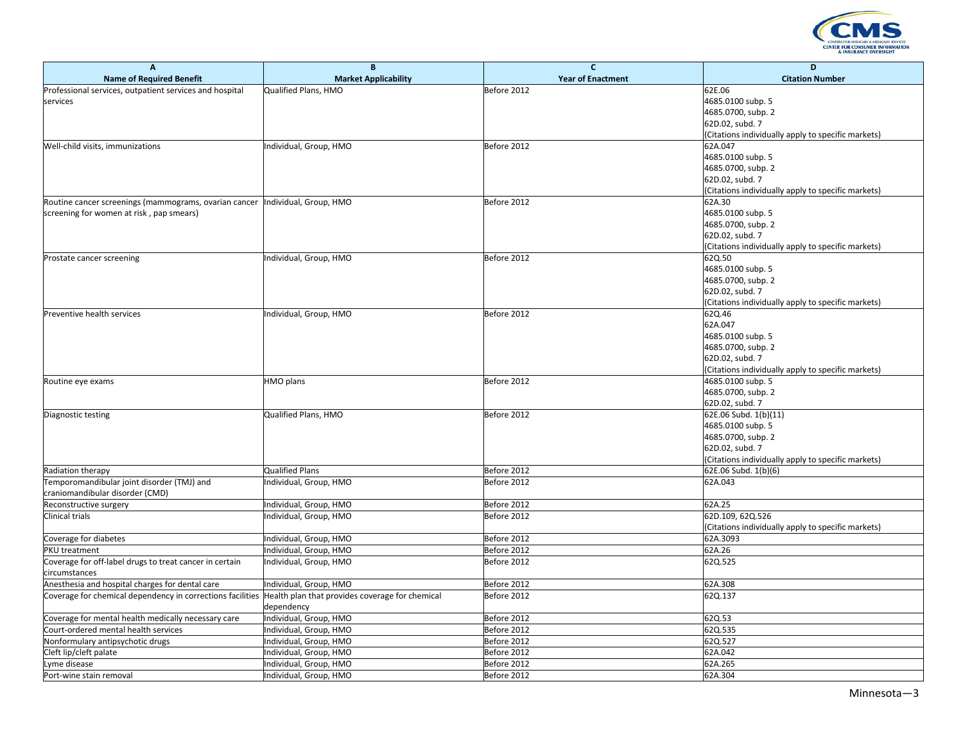

| A                                                          | B                                               | C                        | D                                                                       |
|------------------------------------------------------------|-------------------------------------------------|--------------------------|-------------------------------------------------------------------------|
| <b>Name of Required Benefit</b>                            | <b>Market Applicability</b>                     | <b>Year of Enactment</b> | <b>Citation Number</b>                                                  |
| Professional services, outpatient services and hospital    | Qualified Plans, HMO                            | Before 2012              | 62E.06                                                                  |
| services                                                   |                                                 |                          | 4685.0100 subp. 5                                                       |
|                                                            |                                                 |                          | 4685.0700, subp. 2                                                      |
|                                                            |                                                 |                          | 62D.02, subd. 7                                                         |
|                                                            |                                                 |                          | (Citations individually apply to specific markets)                      |
| Well-child visits, immunizations                           | ndividual, Group, HMO                           | Before 2012              | 62A.047                                                                 |
|                                                            |                                                 |                          | 4685.0100 subp. 5                                                       |
|                                                            |                                                 |                          | 4685.0700, subp. 2                                                      |
|                                                            |                                                 |                          | 62D.02, subd. 7                                                         |
|                                                            |                                                 |                          | (Citations individually apply to specific markets)                      |
| Routine cancer screenings (mammograms, ovarian cancer      | Individual, Group, HMO                          | Before 2012              | 62A.30                                                                  |
| screening for women at risk, pap smears)                   |                                                 |                          | 4685.0100 subp. 5                                                       |
|                                                            |                                                 |                          | 4685.0700, subp. 2                                                      |
|                                                            |                                                 |                          | 62D.02, subd. 7                                                         |
|                                                            |                                                 |                          | (Citations individually apply to specific markets)                      |
| Prostate cancer screening                                  | ndividual, Group, HMO                           | Before 2012              | 62Q.50                                                                  |
|                                                            |                                                 |                          | 4685.0100 subp. 5                                                       |
|                                                            |                                                 |                          | 4685.0700, subp. 2                                                      |
|                                                            |                                                 |                          | 62D.02, subd. 7                                                         |
|                                                            |                                                 |                          | (Citations individually apply to specific markets)                      |
| Preventive health services                                 | Individual, Group, HMO                          | Before 2012              | 62Q.46                                                                  |
|                                                            |                                                 |                          | 62A.047                                                                 |
|                                                            |                                                 |                          | 4685.0100 subp. 5                                                       |
|                                                            |                                                 |                          | 4685.0700, subp. 2                                                      |
|                                                            |                                                 |                          | 62D.02, subd. 7                                                         |
|                                                            |                                                 |                          |                                                                         |
|                                                            |                                                 | Before 2012              | (Citations individually apply to specific markets)<br>4685.0100 subp. 5 |
| Routine eye exams                                          | HMO plans                                       |                          |                                                                         |
|                                                            |                                                 |                          | 4685.0700, subp. 2                                                      |
|                                                            |                                                 |                          | 62D.02, subd. 7                                                         |
| Diagnostic testing                                         | Qualified Plans, HMO                            | Before 2012              | 62E.06 Subd. 1(b)(11)                                                   |
|                                                            |                                                 |                          | 4685.0100 subp. 5                                                       |
|                                                            |                                                 |                          | 4685.0700, subp. 2                                                      |
|                                                            |                                                 |                          | 62D.02, subd. 7                                                         |
|                                                            |                                                 |                          | (Citations individually apply to specific markets)                      |
| Radiation therapy                                          | <b>Qualified Plans</b>                          | Before 2012              | 62E.06 Subd. 1(b)(6)                                                    |
| Temporomandibular joint disorder (TMJ) and                 | ndividual, Group, HMO                           | Before 2012              | 62A.043                                                                 |
| craniomandibular disorder (CMD)                            |                                                 |                          |                                                                         |
| Reconstructive surgery                                     | ndividual, Group, HMO                           | Before 2012              | 62A.25                                                                  |
| Clinical trials                                            | ndividual, Group, HMO                           | Before 2012              | 62D.109, 62Q.526                                                        |
|                                                            |                                                 |                          | Citations individually apply to specific markets)                       |
| Coverage for diabetes                                      | ndividual, Group, HMO                           | Before 2012              | 62A.3093                                                                |
| PKU treatment                                              | ndividual, Group, HMO                           | Before 2012              | 62A.26                                                                  |
| Coverage for off-label drugs to treat cancer in certain    | ndividual, Group, HMO                           | Before 2012              | 62Q.525                                                                 |
| circumstances                                              |                                                 |                          |                                                                         |
| Anesthesia and hospital charges for dental care            | ndividual, Group, HMO                           | Before 2012              | 62A.308                                                                 |
| Coverage for chemical dependency in corrections facilities | Health plan that provides coverage for chemical | Before 2012              | 62Q.137                                                                 |
|                                                            | dependency                                      |                          |                                                                         |
| Coverage for mental health medically necessary care        | Individual, Group, HMO                          | Before 2012              | 62Q.53                                                                  |
| Court-ordered mental health services                       | ndividual, Group, HMO                           | Before 2012              | 62Q.535                                                                 |
| Nonformulary antipsychotic drugs                           | Individual, Group, HMO                          | Before 2012              | 62Q.527                                                                 |
| Cleft lip/cleft palate                                     | ndividual, Group, HMO                           | Before 2012              | 62A.042                                                                 |
| Lyme disease                                               | Individual, Group, HMO                          | Before 2012              | 62A.265                                                                 |
| Port-wine stain removal                                    | Individual, Group, HMO                          | Before 2012              | 62A.304                                                                 |